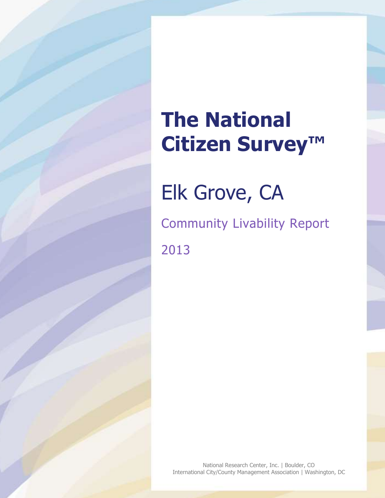Elk Grove, CA

Community Livability Report 2013

National Research Center, Inc. | Boulder, CO International City/County Management Association | Washington, DC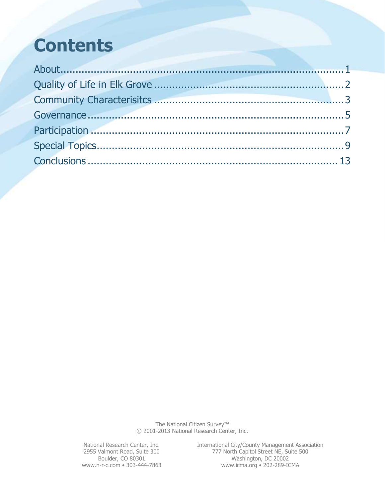## **Contents**

The National Citizen Survey™ © 2001-2013 National Research Center, Inc.

National Research Center, Inc. International City/County Management Association 2955 Valmont Road, Suite 300 777 North Capitol Street NE, Suite 500 Boulder, CO 80301 Washington, DC 20002 www.n-r-c.com • 303-444-7863 www.icma.org • 202-289-ICMA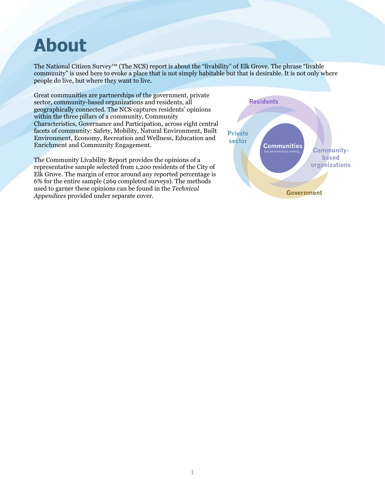### <span id="page-2-0"></span>**About**

The National Citizen Survey™ (The NCS) report is about the "livability" of Elk Grove. The phrase "livable community" is used here to evoke a place that is not simply habitable but that is desirable. It is not only where people do live, but where they want to live.

Great communities are partnerships of the government, private sector, community-based organizations and residents, all geographically connected. The NCS captures residents' opinions within the three pillars of a community, Community Characteristics, Governance and Participation, across eight central facets of community: Safety, Mobility, Natural Environment, Built Environment, Economy, Recreation and Wellness, Education and Enrichment and Community Engagement.

The Community Livability Report provides the opinions of a representative sample selected from 1,200 residents of the City of Elk Grove. The margin of error around any reported percentage is 6% for the entire sample (269 completed surveys). The methods used to garner these opinions can be found in the *Technical Appendices* provided under separate cover.

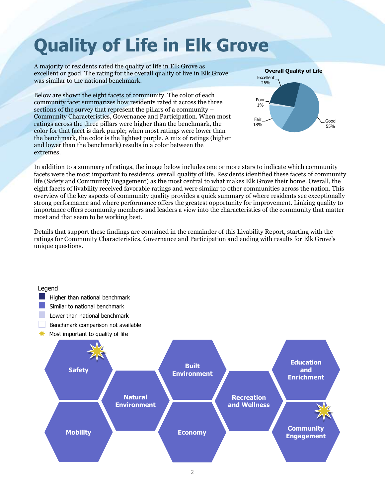# <span id="page-3-0"></span>**Quality of Life in Elk Grove**

A majority of residents rated the quality of life in Elk Grove as excellent or good. The rating for the overall quality of live in Elk Grove was similar to the national benchmark.

Below are shown the eight facets of community. The color of each community facet summarizes how residents rated it across the three sections of the survey that represent the pillars of a community – Community Characteristics, Governance and Participation. When most ratings across the three pillars were higher than the benchmark, the color for that facet is dark purple; when most ratings were lower than the benchmark, the color is the lightest purple. A mix of ratings (higher and lower than the benchmark) results in a color between the extremes.



In addition to a summary of ratings, the image below includes one or more stars to indicate which community facets were the most important to residents' overall quality of life. Residents identified these facets of community life (Safety and Community Engagement) as the most central to what makes Elk Grove their home. Overall, the eight facets of livability received favorable ratings and were similar to other communities across the nation. This overview of the key aspects of community quality provides a quick summary of where residents see exceptionally strong performance and where performance offers the greatest opportunity for improvement. Linking quality to importance offers community members and leaders a view into the characteristics of the community that matter most and that seem to be working best.

Details that support these findings are contained in the remainder of this Livability Report, starting with the ratings for Community Characteristics, Governance and Participation and ending with results for Elk Grove's unique questions.

#### **Education and Enrichment Community Example 19 Mobility Example 19 Mobility Example 19 Mobility Engagement Natural Environment Recreation and Wellness Built Environment Economy** Legend  $\blacksquare$  Higher than national benchmark Similar to national benchmark Lower than national benchmark Benchmark comparison not available  $*$  Most important to quality of life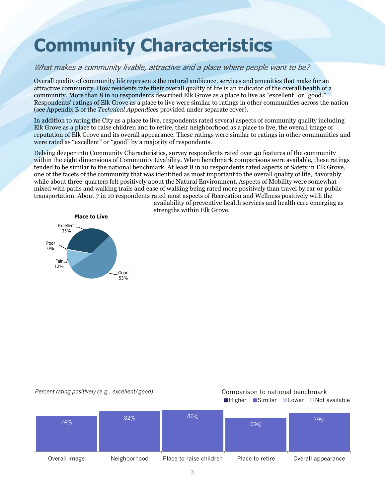## <span id="page-4-0"></span>**Community Characteristics**

#### What makes a community livable, attractive and a place where people want to be?

Overall quality of community life represents the natural ambience, services and amenities that make for an attractive community. How residents rate their overall quality of life is an indicator of the overall health of a community. More than 8 in 10 respondents described Elk Grove as a place to live as "excellent" or "good." Respondents' ratings of Elk Grove as a place to live were similar to ratings in other communities across the nation (see Appendix B of the *Technical Appendices* provided under separate cover).

In addition to rating the City as a place to live, respondents rated several aspects of community quality including Elk Grove as a place to raise children and to retire, their neighborhood as a place to live, the overall image or reputation of Elk Grove and its overall appearance. These ratings were similar to ratings in other communities and were rated as "excellent" or "good" by a majority of respondents.

Delving deeper into Community Characteristics, survey respondents rated over 40 features of the community within the eight dimensions of Community Livability. When benchmark comparisons were available, these ratings tended to be similar to the national benchmark. At least 8 in 10 respondents rated aspects of Safety in Elk Grove, one of the facets of the community that was identified as most important to the overall quality of life, favorably while about three-quarters felt positively about the Natural Environment. Aspects of Mobility were somewhat mixed with paths and walking trails and ease of walking being rated more positively than travel by car or public transportation. About 7 in 10 respondents rated most aspects of Recreation and Wellness positively with the



availability of preventive health services and health care emerging as strengths within Elk Grove.

#### *Percent rating positively (e.g., excellent/good)* Comparison to national benchmark

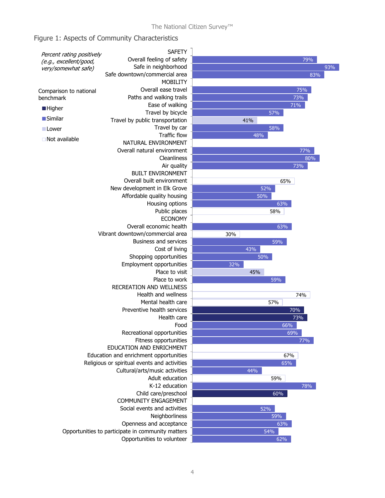### Figure 1: Aspects of Community Characteristics

| Percent rating positively | <b>SAFETY</b>                                     |     |        |     |
|---------------------------|---------------------------------------------------|-----|--------|-----|
| (e.g., excellent/good,    | Overall feeling of safety                         |     |        | 79% |
| very/somewhat safe)       | Safe in neighborhood                              |     |        | 93% |
|                           | Safe downtown/commercial area                     |     |        | 83% |
|                           | <b>MOBILITY</b>                                   |     |        |     |
| Comparison to national    | Overall ease travel                               |     |        | 75% |
| benchmark                 | Paths and walking trails                          |     | 73%    |     |
|                           | Ease of walking                                   |     | $71\%$ |     |
| <b>Higher</b>             | Travel by bicycle                                 |     | 57%    |     |
| $\blacksquare$ Similar    | Travel by public transportation                   |     | 41%    |     |
| <b>Lower</b>              | Travel by car                                     |     | 58%    |     |
|                           | <b>Traffic flow</b>                               |     | 48%    |     |
| $\Box$ Not available      | NATURAL ENVIRONMENT                               |     |        |     |
|                           | Overall natural environment                       |     |        | 77% |
|                           | Cleanliness                                       |     |        | 80% |
|                           |                                                   |     |        |     |
|                           | Air quality<br><b>BUILT ENVIRONMENT</b>           |     | 73%    |     |
|                           |                                                   |     |        |     |
|                           | Overall built environment                         |     | 65%    |     |
|                           | New development in Elk Grove                      |     | 52%    |     |
|                           | Affordable quality housing                        |     | 50%    |     |
|                           | Housing options                                   |     | 63%    |     |
|                           | Public places                                     |     | 58%    |     |
|                           | <b>ECONOMY</b>                                    |     |        |     |
|                           | Overall economic health                           |     | 63%    |     |
|                           | Vibrant downtown/commercial area                  | 30% |        |     |
|                           | <b>Business and services</b>                      |     | 59%    |     |
|                           | Cost of living                                    |     | 43%    |     |
|                           | Shopping opportunities                            |     | 50%    |     |
|                           | Employment opportunities                          | 32% |        |     |
|                           | Place to visit                                    |     | 45%    |     |
|                           | Place to work                                     |     | 59%    |     |
|                           | <b>RECREATION AND WELLNESS</b>                    |     |        |     |
|                           | Health and wellness                               |     |        | 74% |
|                           | Mental health care                                |     | 57%    |     |
|                           | Preventive health services                        |     | 70%    |     |
|                           | Health care                                       |     | 73%    |     |
|                           | Food                                              |     | 66%    |     |
|                           | Recreational opportunities                        |     | 69%    |     |
|                           | Fitness opportunities                             |     |        | 77% |
|                           | EDUCATION AND ENRICHMENT                          |     |        |     |
|                           | Education and enrichment opportunities            |     | 67%    |     |
|                           | Religious or spiritual events and activities      |     | 65%    |     |
|                           | Cultural/arts/music activities                    |     | 44%    |     |
|                           | Adult education                                   |     | 59%    |     |
|                           | K-12 education                                    |     |        | 78% |
|                           | Child care/preschool                              |     | 60%    |     |
|                           | COMMUNITY ENGAGEMENT                              |     |        |     |
|                           | Social events and activities                      |     | 52%    |     |
|                           | Neighborliness                                    |     | 59%    |     |
|                           | Openness and acceptance                           |     | 63%    |     |
|                           | Opportunities to participate in community matters |     | 54%    |     |
|                           | Opportunities to volunteer                        |     | 62%    |     |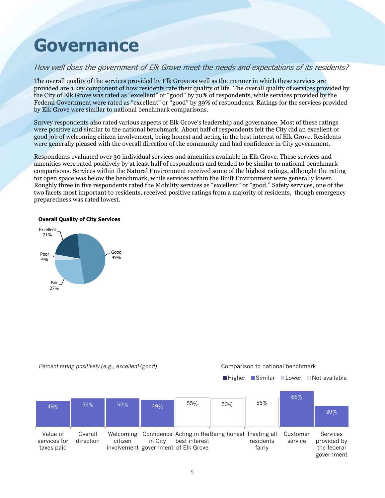### <span id="page-6-0"></span>**Governance**

#### How well does the government of Elk Grove meet the needs and expectations of its residents?

The overall quality of the services provided by Elk Grove as well as the manner in which these services are provided are a key component of how residents rate their quality of life. The overall quality of services provided by the City of Elk Grove was rated as "excellent" or "good" by 70% of respondents, while services provided by the Federal Government were rated as "excellent" or "good" by 39% of respondents. Ratings for the services provided by Elk Grove were similar to national benchmark comparisons.

Survey respondents also rated various aspects of Elk Grove's leadership and governance. Most of these ratings were positive and similar to the national benchmark. About half of respondents felt the City did an excellent or good job of welcoming citizen involvement, being honest and acting in the best interest of Elk Grove. Residents were generally pleased with the overall direction of the community and had confidence in City government.

Respondents evaluated over 30 individual services and amenities available in Elk Grove. These services and amenities were rated positively by at least half of respondents and tended to be similar to national benchmark comparisons. Services within the Natural Environment received some of the highest ratings, althought the rating for open space was below the benchmark, while services within the Built Environment were generally lower. Roughly three in five respondents rated the Mobility services as "excellent" or "good." Safety services, one of the two facets most important to residents, received positive ratings from a majority of residents, though emergency preparedness was rated lowest.

#### **Overall Quality of City Services**



#### *Percent rating positively (e.g., excellent/good)* Comparison to national benchmark

 $\blacksquare$  Higher  $\blacksquare$  Similar  $\blacksquare$  Lower  $\Box$  Not available

|                                        |                      |         |         |                                                      |                                                              |                     | 66%                 |                                                      |
|----------------------------------------|----------------------|---------|---------|------------------------------------------------------|--------------------------------------------------------------|---------------------|---------------------|------------------------------------------------------|
|                                        | 52%                  | $52\%$  |         | 55%                                                  | 53%                                                          | 56%                 |                     |                                                      |
| 48%                                    |                      |         | 49%     |                                                      |                                                              |                     |                     | 39%                                                  |
|                                        |                      |         |         |                                                      |                                                              |                     |                     |                                                      |
|                                        |                      |         |         |                                                      |                                                              |                     |                     |                                                      |
| Value of<br>services for<br>taxes paid | Overall<br>direction | citizen | in City | best interest<br>involvement government of Elk Grove | Welcoming Confidence Acting in the Being honest Treating all | residents<br>fairly | Customer<br>service | Services<br>provided by<br>the federal<br>government |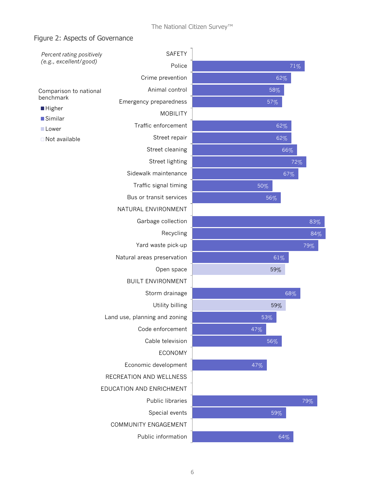### Figure 2: Aspects of Governance

| Percent rating positively               | SAFETY                        |     |     |     |
|-----------------------------------------|-------------------------------|-----|-----|-----|
| (e.g., excellent/good)                  | Police                        |     | 71% |     |
|                                         | Crime prevention              |     | 62% |     |
| Comparison to national                  | Animal control                | 58% |     |     |
| benchmark                               | Emergency preparedness        | 57% |     |     |
| $\blacksquare$ Higher<br><b>Similar</b> | <b>MOBILITY</b>               |     |     |     |
| <b>Lower</b>                            | Traffic enforcement           |     | 62% |     |
| □ Not available                         | Street repair                 |     | 62% |     |
|                                         | Street cleaning               |     | 66% |     |
|                                         | Street lighting               |     |     | 72% |
|                                         | Sidewalk maintenance          |     | 67% |     |
|                                         | Traffic signal timing         | 50% |     |     |
|                                         | Bus or transit services       | 56% |     |     |
|                                         | NATURAL ENVIRONMENT           |     |     |     |
|                                         | Garbage collection            |     |     | 83% |
|                                         | Recycling                     |     |     | 84% |
|                                         | Yard waste pick-up            |     |     | 79% |
|                                         | Natural areas preservation    |     | 61% |     |
|                                         | Open space                    | 59% |     |     |
|                                         | <b>BUILT ENVIRONMENT</b>      |     |     |     |
|                                         | Storm drainage                |     | 68% |     |
|                                         | Utility billing               | 59% |     |     |
|                                         | Land use, planning and zoning | 53% |     |     |
|                                         | Code enforcement              | 47% |     |     |
|                                         | Cable television              | 56% |     |     |
|                                         | <b>ECONOMY</b>                |     |     |     |
|                                         | Economic development          | 47% |     |     |
|                                         | RECREATION AND WELLNESS       |     |     |     |
|                                         | EDUCATION AND ENRICHMENT      |     |     |     |
|                                         | Public libraries              |     |     | 79% |
|                                         | Special events                |     | 59% |     |
|                                         | COMMUNITY ENGAGEMENT          |     |     |     |
|                                         | Public information            |     | 64% |     |
|                                         |                               |     |     |     |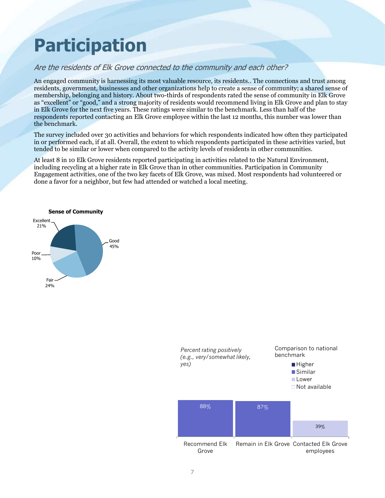### <span id="page-8-0"></span>**Participation**

#### Are the residents of Elk Grove connected to the community and each other?

An engaged community is harnessing its most valuable resource, its residents.. The connections and trust among residents, government, businesses and other organizations help to create a sense of community; a shared sense of membership, belonging and history. About two-thirds of respondents rated the sense of community in Elk Grove as "excellent" or "good," and a strong majority of residents would recommend living in Elk Grove and plan to stay in Elk Grove for the next five years. These ratings were similar to the benchmark. Less than half of the respondents reported contacting an Elk Grove employee within the last 12 months, this number was lower than the benchmark.

The survey included over 30 activities and behaviors for which respondents indicated how often they participated in or performed each, if at all. Overall, the extent to which respondents participated in these activities varied, but tended to be similar or lower when compared to the activity levels of residents in other communities.

At least 8 in 10 Elk Grove residents reported participating in activities related to the Natural Environment, including recycling at a higher rate in Elk Grove than in other communities. Participation in Community Engagement activities, one of the two key facets of Elk Grove, was mixed. Most respondents had volunteered or done a favor for a neighbor, but few had attended or watched a local meeting.



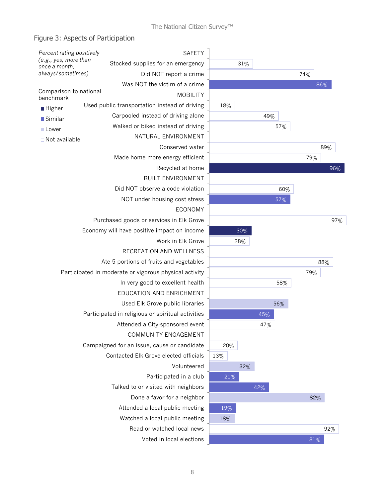### Figure 3: Aspects of Participation

| (e.g., yes, more than<br>Stocked supplies for an emergency<br>31%<br>once a month,<br>always/sometimes)<br>Did NOT report a crime<br>74%<br>Was NOT the victim of a crime<br>86%<br>Comparison to national<br><b>MOBILITY</b><br>benchmark<br>Used public transportation instead of driving<br>18%<br><b>Higher</b><br>Carpooled instead of driving alone<br>49%<br><b>Similar</b><br>Walked or biked instead of driving<br>57%<br><b>Lower</b><br>NATURAL ENVIRONMENT<br>□ Not available<br>Conserved water<br>89%<br>Made home more energy efficient<br>79%<br>Recycled at home<br>96%<br><b>BUILT ENVIRONMENT</b><br>Did NOT observe a code violation<br>60%<br>NOT under housing cost stress<br>57%<br><b>ECONOMY</b><br>Purchased goods or services in Elk Grove<br>97%<br>Economy will have positive impact on income<br>$30\%$<br>Work in Elk Grove<br>28%<br>RECREATION AND WELLNESS<br>Ate 5 portions of fruits and vegetables<br>88%<br>Participated in moderate or vigorous physical activity<br>79%<br>In very good to excellent health<br>58%<br>EDUCATION AND ENRICHMENT<br>Used Elk Grove public libraries<br>56%<br>Participated in religious or spiritual activities<br>45%<br>Attended a City-sponsored event<br>47%<br>COMMUNITY ENGAGEMENT<br>Campaigned for an issue, cause or candidate<br>20%<br>Contacted Elk Grove elected officials<br>13%<br>Volunteered<br>32%<br>Participated in a club<br>21%<br>Talked to or visited with neighbors<br>42%<br>Done a favor for a neighbor<br>82%<br>Attended a local public meeting<br>19%<br>Watched a local public meeting<br>18%<br>Read or watched local news<br>92%<br>Voted in local elections<br>81% | Percent rating positively |  | <b>SAFETY</b> |  |  |  |
|----------------------------------------------------------------------------------------------------------------------------------------------------------------------------------------------------------------------------------------------------------------------------------------------------------------------------------------------------------------------------------------------------------------------------------------------------------------------------------------------------------------------------------------------------------------------------------------------------------------------------------------------------------------------------------------------------------------------------------------------------------------------------------------------------------------------------------------------------------------------------------------------------------------------------------------------------------------------------------------------------------------------------------------------------------------------------------------------------------------------------------------------------------------------------------------------------------------------------------------------------------------------------------------------------------------------------------------------------------------------------------------------------------------------------------------------------------------------------------------------------------------------------------------------------------------------------------------------------------------------------------------------------------------------------|---------------------------|--|---------------|--|--|--|
|                                                                                                                                                                                                                                                                                                                                                                                                                                                                                                                                                                                                                                                                                                                                                                                                                                                                                                                                                                                                                                                                                                                                                                                                                                                                                                                                                                                                                                                                                                                                                                                                                                                                            |                           |  |               |  |  |  |
|                                                                                                                                                                                                                                                                                                                                                                                                                                                                                                                                                                                                                                                                                                                                                                                                                                                                                                                                                                                                                                                                                                                                                                                                                                                                                                                                                                                                                                                                                                                                                                                                                                                                            |                           |  |               |  |  |  |
|                                                                                                                                                                                                                                                                                                                                                                                                                                                                                                                                                                                                                                                                                                                                                                                                                                                                                                                                                                                                                                                                                                                                                                                                                                                                                                                                                                                                                                                                                                                                                                                                                                                                            |                           |  |               |  |  |  |
|                                                                                                                                                                                                                                                                                                                                                                                                                                                                                                                                                                                                                                                                                                                                                                                                                                                                                                                                                                                                                                                                                                                                                                                                                                                                                                                                                                                                                                                                                                                                                                                                                                                                            |                           |  |               |  |  |  |
|                                                                                                                                                                                                                                                                                                                                                                                                                                                                                                                                                                                                                                                                                                                                                                                                                                                                                                                                                                                                                                                                                                                                                                                                                                                                                                                                                                                                                                                                                                                                                                                                                                                                            |                           |  |               |  |  |  |
|                                                                                                                                                                                                                                                                                                                                                                                                                                                                                                                                                                                                                                                                                                                                                                                                                                                                                                                                                                                                                                                                                                                                                                                                                                                                                                                                                                                                                                                                                                                                                                                                                                                                            |                           |  |               |  |  |  |
|                                                                                                                                                                                                                                                                                                                                                                                                                                                                                                                                                                                                                                                                                                                                                                                                                                                                                                                                                                                                                                                                                                                                                                                                                                                                                                                                                                                                                                                                                                                                                                                                                                                                            |                           |  |               |  |  |  |
|                                                                                                                                                                                                                                                                                                                                                                                                                                                                                                                                                                                                                                                                                                                                                                                                                                                                                                                                                                                                                                                                                                                                                                                                                                                                                                                                                                                                                                                                                                                                                                                                                                                                            |                           |  |               |  |  |  |
|                                                                                                                                                                                                                                                                                                                                                                                                                                                                                                                                                                                                                                                                                                                                                                                                                                                                                                                                                                                                                                                                                                                                                                                                                                                                                                                                                                                                                                                                                                                                                                                                                                                                            |                           |  |               |  |  |  |
|                                                                                                                                                                                                                                                                                                                                                                                                                                                                                                                                                                                                                                                                                                                                                                                                                                                                                                                                                                                                                                                                                                                                                                                                                                                                                                                                                                                                                                                                                                                                                                                                                                                                            |                           |  |               |  |  |  |
|                                                                                                                                                                                                                                                                                                                                                                                                                                                                                                                                                                                                                                                                                                                                                                                                                                                                                                                                                                                                                                                                                                                                                                                                                                                                                                                                                                                                                                                                                                                                                                                                                                                                            |                           |  |               |  |  |  |
|                                                                                                                                                                                                                                                                                                                                                                                                                                                                                                                                                                                                                                                                                                                                                                                                                                                                                                                                                                                                                                                                                                                                                                                                                                                                                                                                                                                                                                                                                                                                                                                                                                                                            |                           |  |               |  |  |  |
|                                                                                                                                                                                                                                                                                                                                                                                                                                                                                                                                                                                                                                                                                                                                                                                                                                                                                                                                                                                                                                                                                                                                                                                                                                                                                                                                                                                                                                                                                                                                                                                                                                                                            |                           |  |               |  |  |  |
|                                                                                                                                                                                                                                                                                                                                                                                                                                                                                                                                                                                                                                                                                                                                                                                                                                                                                                                                                                                                                                                                                                                                                                                                                                                                                                                                                                                                                                                                                                                                                                                                                                                                            |                           |  |               |  |  |  |
|                                                                                                                                                                                                                                                                                                                                                                                                                                                                                                                                                                                                                                                                                                                                                                                                                                                                                                                                                                                                                                                                                                                                                                                                                                                                                                                                                                                                                                                                                                                                                                                                                                                                            |                           |  |               |  |  |  |
|                                                                                                                                                                                                                                                                                                                                                                                                                                                                                                                                                                                                                                                                                                                                                                                                                                                                                                                                                                                                                                                                                                                                                                                                                                                                                                                                                                                                                                                                                                                                                                                                                                                                            |                           |  |               |  |  |  |
|                                                                                                                                                                                                                                                                                                                                                                                                                                                                                                                                                                                                                                                                                                                                                                                                                                                                                                                                                                                                                                                                                                                                                                                                                                                                                                                                                                                                                                                                                                                                                                                                                                                                            |                           |  |               |  |  |  |
|                                                                                                                                                                                                                                                                                                                                                                                                                                                                                                                                                                                                                                                                                                                                                                                                                                                                                                                                                                                                                                                                                                                                                                                                                                                                                                                                                                                                                                                                                                                                                                                                                                                                            |                           |  |               |  |  |  |
|                                                                                                                                                                                                                                                                                                                                                                                                                                                                                                                                                                                                                                                                                                                                                                                                                                                                                                                                                                                                                                                                                                                                                                                                                                                                                                                                                                                                                                                                                                                                                                                                                                                                            |                           |  |               |  |  |  |
|                                                                                                                                                                                                                                                                                                                                                                                                                                                                                                                                                                                                                                                                                                                                                                                                                                                                                                                                                                                                                                                                                                                                                                                                                                                                                                                                                                                                                                                                                                                                                                                                                                                                            |                           |  |               |  |  |  |
|                                                                                                                                                                                                                                                                                                                                                                                                                                                                                                                                                                                                                                                                                                                                                                                                                                                                                                                                                                                                                                                                                                                                                                                                                                                                                                                                                                                                                                                                                                                                                                                                                                                                            |                           |  |               |  |  |  |
|                                                                                                                                                                                                                                                                                                                                                                                                                                                                                                                                                                                                                                                                                                                                                                                                                                                                                                                                                                                                                                                                                                                                                                                                                                                                                                                                                                                                                                                                                                                                                                                                                                                                            |                           |  |               |  |  |  |
|                                                                                                                                                                                                                                                                                                                                                                                                                                                                                                                                                                                                                                                                                                                                                                                                                                                                                                                                                                                                                                                                                                                                                                                                                                                                                                                                                                                                                                                                                                                                                                                                                                                                            |                           |  |               |  |  |  |
|                                                                                                                                                                                                                                                                                                                                                                                                                                                                                                                                                                                                                                                                                                                                                                                                                                                                                                                                                                                                                                                                                                                                                                                                                                                                                                                                                                                                                                                                                                                                                                                                                                                                            |                           |  |               |  |  |  |
|                                                                                                                                                                                                                                                                                                                                                                                                                                                                                                                                                                                                                                                                                                                                                                                                                                                                                                                                                                                                                                                                                                                                                                                                                                                                                                                                                                                                                                                                                                                                                                                                                                                                            |                           |  |               |  |  |  |
|                                                                                                                                                                                                                                                                                                                                                                                                                                                                                                                                                                                                                                                                                                                                                                                                                                                                                                                                                                                                                                                                                                                                                                                                                                                                                                                                                                                                                                                                                                                                                                                                                                                                            |                           |  |               |  |  |  |
|                                                                                                                                                                                                                                                                                                                                                                                                                                                                                                                                                                                                                                                                                                                                                                                                                                                                                                                                                                                                                                                                                                                                                                                                                                                                                                                                                                                                                                                                                                                                                                                                                                                                            |                           |  |               |  |  |  |
|                                                                                                                                                                                                                                                                                                                                                                                                                                                                                                                                                                                                                                                                                                                                                                                                                                                                                                                                                                                                                                                                                                                                                                                                                                                                                                                                                                                                                                                                                                                                                                                                                                                                            |                           |  |               |  |  |  |
|                                                                                                                                                                                                                                                                                                                                                                                                                                                                                                                                                                                                                                                                                                                                                                                                                                                                                                                                                                                                                                                                                                                                                                                                                                                                                                                                                                                                                                                                                                                                                                                                                                                                            |                           |  |               |  |  |  |
|                                                                                                                                                                                                                                                                                                                                                                                                                                                                                                                                                                                                                                                                                                                                                                                                                                                                                                                                                                                                                                                                                                                                                                                                                                                                                                                                                                                                                                                                                                                                                                                                                                                                            |                           |  |               |  |  |  |
|                                                                                                                                                                                                                                                                                                                                                                                                                                                                                                                                                                                                                                                                                                                                                                                                                                                                                                                                                                                                                                                                                                                                                                                                                                                                                                                                                                                                                                                                                                                                                                                                                                                                            |                           |  |               |  |  |  |
|                                                                                                                                                                                                                                                                                                                                                                                                                                                                                                                                                                                                                                                                                                                                                                                                                                                                                                                                                                                                                                                                                                                                                                                                                                                                                                                                                                                                                                                                                                                                                                                                                                                                            |                           |  |               |  |  |  |
|                                                                                                                                                                                                                                                                                                                                                                                                                                                                                                                                                                                                                                                                                                                                                                                                                                                                                                                                                                                                                                                                                                                                                                                                                                                                                                                                                                                                                                                                                                                                                                                                                                                                            |                           |  |               |  |  |  |
|                                                                                                                                                                                                                                                                                                                                                                                                                                                                                                                                                                                                                                                                                                                                                                                                                                                                                                                                                                                                                                                                                                                                                                                                                                                                                                                                                                                                                                                                                                                                                                                                                                                                            |                           |  |               |  |  |  |
|                                                                                                                                                                                                                                                                                                                                                                                                                                                                                                                                                                                                                                                                                                                                                                                                                                                                                                                                                                                                                                                                                                                                                                                                                                                                                                                                                                                                                                                                                                                                                                                                                                                                            |                           |  |               |  |  |  |
|                                                                                                                                                                                                                                                                                                                                                                                                                                                                                                                                                                                                                                                                                                                                                                                                                                                                                                                                                                                                                                                                                                                                                                                                                                                                                                                                                                                                                                                                                                                                                                                                                                                                            |                           |  |               |  |  |  |
|                                                                                                                                                                                                                                                                                                                                                                                                                                                                                                                                                                                                                                                                                                                                                                                                                                                                                                                                                                                                                                                                                                                                                                                                                                                                                                                                                                                                                                                                                                                                                                                                                                                                            |                           |  |               |  |  |  |

8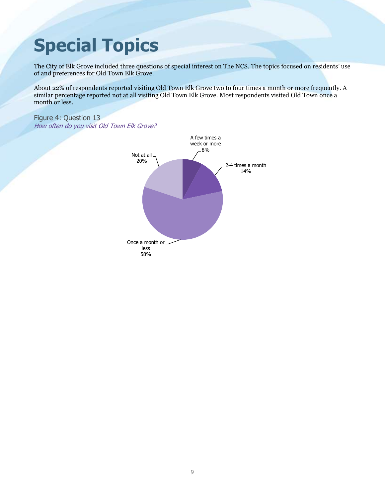# <span id="page-10-0"></span>**Special Topics**

The City of Elk Grove included three questions of special interest on The NCS. The topics focused on residents' use of and preferences for Old Town Elk Grove.

About 22% of respondents reported visiting Old Town Elk Grove two to four times a month or more frequently. A similar percentage reported not at all visiting Old Town Elk Grove. Most respondents visited Old Town once a month or less.

Figure 4: Question 13 How often do you visit Old Town Elk Grove?

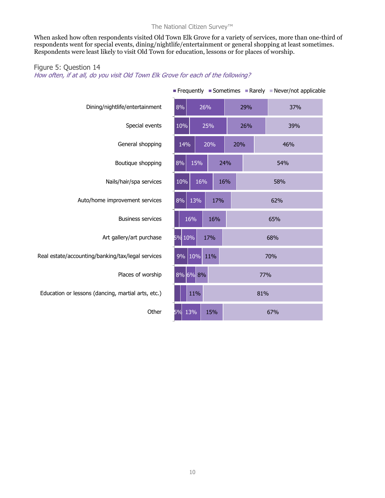When asked how often respondents visited Old Town Elk Grove for a variety of services, more than one-third of respondents went for special events, dining/nightlife/entertainment or general shopping at least sometimes. Respondents were least likely to visit Old Town for education, lessons or for places of worship.

#### Figure 5: Question 14

How often, if at all, do you visit Old Town Elk Grove for each of the following?

|                                                    |                  |     | Frequently Sometimes Rarely Never/not applicable |  |  |
|----------------------------------------------------|------------------|-----|--------------------------------------------------|--|--|
| Dining/nightlife/entertainment                     | 8%<br>26%        | 29% | 37%                                              |  |  |
| Special events                                     | 10%<br>25%       | 26% | 39%                                              |  |  |
| General shopping                                   | 20%<br>14%       | 20% | 46%                                              |  |  |
| Boutique shopping                                  | 8%<br>15%        | 24% | 54%                                              |  |  |
| Nails/hair/spa services                            | 10%<br>16%       | 16% | 58%                                              |  |  |
| Auto/home improvement services                     | 8%<br>13%<br>17% |     | 62%                                              |  |  |
| <b>Business services</b>                           | 16%<br>16%       |     | 65%                                              |  |  |
| Art gallery/art purchase                           | 5% 10%<br>17%    | 68% |                                                  |  |  |
| Real estate/accounting/banking/tax/legal services  | 9% 10%<br>11%    | 70% |                                                  |  |  |
| Places of worship                                  | 8% 6% 8%         | 77% |                                                  |  |  |
| Education or lessons (dancing, martial arts, etc.) | 11%              | 81% |                                                  |  |  |
| Other                                              | 13%<br>5%<br>15% | 67% |                                                  |  |  |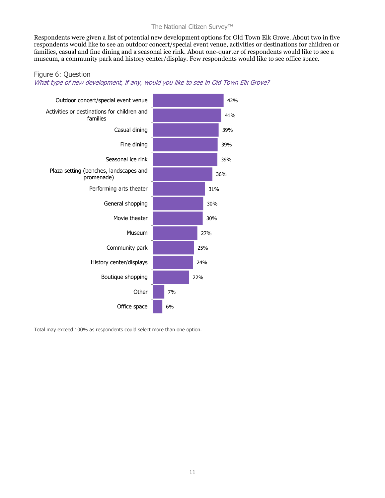Respondents were given a list of potential new development options for Old Town Elk Grove. About two in five respondents would like to see an outdoor concert/special event venue, activities or destinations for children or families, casual and fine dining and a seasonal ice rink. About one-quarter of respondents would like to see a museum, a community park and history center/display. Few respondents would like to see office space.

#### Figure 6: Question

#### What type of new development, if any, would you like to see in Old Town Elk Grove?



Total may exceed 100% as respondents could select more than one option.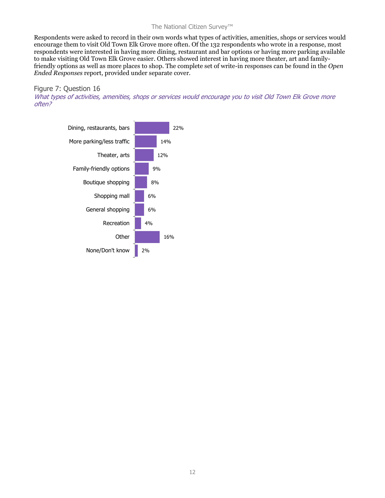Respondents were asked to record in their own words what types of activities, amenities, shops or services would encourage them to visit Old Town Elk Grove more often. Of the 132 respondents who wrote in a response, most respondents were interested in having more dining, restaurant and bar options or having more parking available to make visiting Old Town Elk Grove easier. Others showed interest in having more theater, art and familyfriendly options as well as more places to shop. The complete set of write-in responses can be found in the *Open Ended Responses* report, provided under separate cover.

#### Figure 7: Question 16

What types of activities, amenities, shops or services would encourage you to visit Old Town Elk Grove more often?